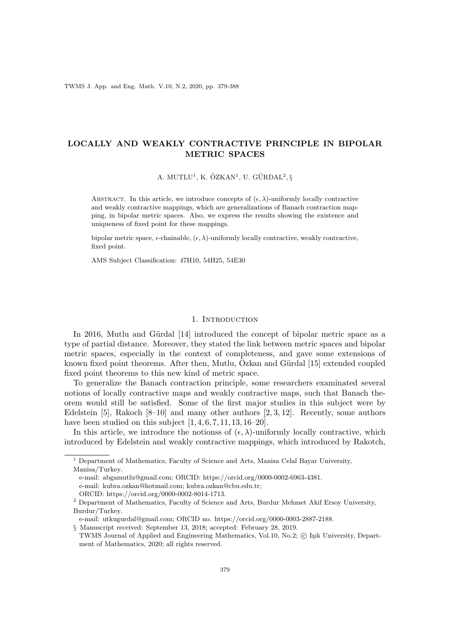TWMS J. App. and Eng. Math. V.10, N.2, 2020, pp. 379-388

# LOCALLY AND WEAKLY CONTRACTIVE PRINCIPLE IN BIPOLAR METRIC SPACES

A. MUTLU<sup>1</sup>, K. ÖZKAN<sup>1</sup>, U. GÜRDAL<sup>2</sup>, §

ABSTRACT. In this article, we introduce concepts of  $(\epsilon, \lambda)$ -uniformly locally contractive and weakly contractive mappings, which are generalizations of Banach contraction mapping, in bipolar metric spaces. Also, we express the results showing the existence and uniqueness of fixed point for these mappings.

bipolar metric space,  $\epsilon$ -chainable,  $(\epsilon, \lambda)$ -uniformly locally contractive, weakly contractive, fixed point.

AMS Subject Classification: 47H10, 54H25, 54E30

## 1. INTRODUCTION

In 2016, Mutlu and Gürdal [14] introduced the concept of bipolar metric space as a type of partial distance. Moreover, they stated the link between metric spaces and bipolar metric spaces, especially in the context of completeness, and gave some extensions of known fixed point theorems. After then, Mutlu, Özkan and Gürdal [15] extended coupled fixed point theorems to this new kind of metric space.

To generalize the Banach contraction principle, some researchers examinated several notions of locally contractive maps and weakly contractive maps, such that Banach theorem would still be satisfied. Some of the first major studies in this subject were by Edelstein [5], Rakoch  $[8-10]$  and many other authors [2, 3, 12]. Recently, some authors have been studied on this subject  $[1, 4, 6, 7, 11, 13, 16-20]$ .

In this article, we introduce the notionss of  $(\epsilon, \lambda)$ -uniformly locally contractive, which introduced by Edelstein and weakly contractive mappings, which introduced by Rakotch,

Manisa/Turkey.  $^{\rm 1}$  Department of Mathematics, Faculty of Science and Arts, Manisa Celal Bayar University,

e-mail: abgamutlu@gmail.com; ORCID: https://orcid.org/0000-0002-6963-4381.

e-mail: kubra.ozkan@hotmail.com; kubra.ozkan@cbu.edu.tr;

ORCID: https://orcid.org/0000-0002-8014-1713.

Burdur/Turkey. <sup>2</sup> Department of Mathematics, Faculty of Science and Arts, Burdur Mehmet Akif Ersoy University,

e-mail: utkugurdal@gmail.com; ORCID no. https://orcid.org/0000-0003-2887-2188.

<sup>§</sup> Manuscript received: September 13, 2018; accepted: February 28, 2019.

ment of Mathematics, 2020; all rights reserved. TWMS Journal of Applied and Engineering Mathematics, Vol.10, No.2; © Işık University, Depart-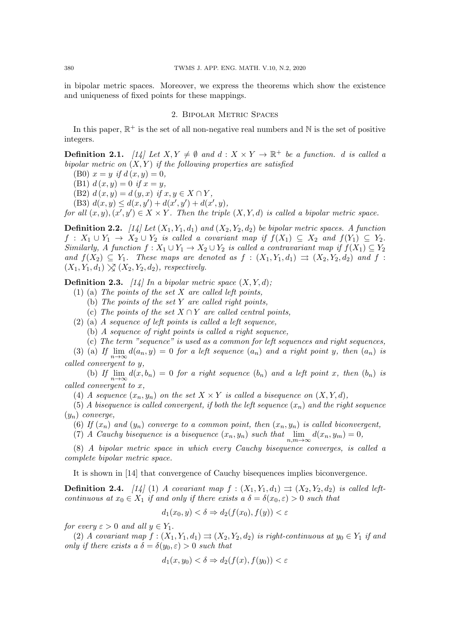in bipolar metric spaces. Moreover, we express the theorems which show the existence and uniqueness of fixed points for these mappings.

# 2. Bipolar Metric Spaces

In this paper,  $\mathbb{R}^+$  is the set of all non-negative real numbers and  $\mathbb N$  is the set of positive integers.

**Definition 2.1.** [14] Let  $X, Y \neq \emptyset$  and  $d : X \times Y \rightarrow \mathbb{R}^+$  be a function. d is called a bipolar metric on  $(X, Y)$  if the following properties are satisfied

(B0)  $x = y$  if  $d(x, y) = 0$ ,

(B1)  $d(x, y) = 0$  if  $x = y$ ,

(B2)  $d(x, y) = d(y, x)$  if  $x, y \in X \cap Y$ ,

(B3)  $d(x, y) \leq d(x, y') + d(x', y') + d(x', y)$ ,

for all  $(x, y), (x', y') \in X \times Y$ . Then the triple  $(X, Y, d)$  is called a bipolar metric space.

**Definition 2.2.** [14] Let  $(X_1, Y_1, d_1)$  and  $(X_2, Y_2, d_2)$  be bipolar metric spaces. A function  $f: X_1 \cup Y_1 \to X_2 \cup Y_2$  is called a covariant map if  $f(X_1) \subseteq X_2$  and  $f(Y_1) \subseteq Y_2$ . Similarly, A function  $f: X_1 \cup Y_1 \to X_2 \cup Y_2$  is called a contravariant map if  $f(X_1) \subseteq Y_2$ and  $f(X_2) \subseteq Y_1$ . These maps are denoted as  $f : (X_1, Y_1, d_1) \implies (X_2, Y_2, d_2)$  and  $f :$  $(X_1, Y_1, d_1) \searrow (X_2, Y_2, d_2)$ , respectively.

**Definition 2.3.** [14] In a bipolar metric space  $(X, Y, d)$ ;

- (1) (a) The points of the set  $X$  are called left points,
	- (b) The points of the set Y are called right points,
	- (c) The points of the set  $X \cap Y$  are called central points,
- (2) (a) A sequence of left points is called a left sequence,
	- (b) A sequence of right points is called a right sequence,
	- (c) The term "sequence" is used as a common for left sequences and right sequences,

(3) (a) If  $\lim_{n\to\infty} d(a_n, y) = 0$  for a left sequence  $(a_n)$  and a right point y, then  $(a_n)$  is called convergent to y,

(b) If  $\lim_{n\to\infty} d(x, b_n) = 0$  for a right sequence  $(b_n)$  and a left point x, then  $(b_n)$  is called convergent to x,

(4) A sequence  $(x_n, y_n)$  on the set  $X \times Y$  is called a bisequence on  $(X, Y, d)$ ,

(5) A bisequence is called convergent, if both the left sequence  $(x_n)$  and the right sequence  $(y_n)$  converge,

(6) If  $(x_n)$  and  $(y_n)$  converge to a common point, then  $(x_n, y_n)$  is called biconvergent,

(7) A Cauchy bisequence is a bisequence  $(x_n, y_n)$  such that  $\lim_{n,m \to \infty} d(x_n, y_m) = 0$ ,

(8) A bipolar metric space in which every Cauchy bisequence converges, is called a complete bipolar metric space.

It is shown in [14] that convergence of Cauchy bisequences implies biconvergence.

**Definition 2.4.** [14] (1) A covariant map  $f : (X_1, Y_1, d_1) \implies (X_2, Y_2, d_2)$  is called leftcontinuous at  $x_0 \in X_1$  if and only if there exists a  $\delta = \delta(x_0, \varepsilon) > 0$  such that

$$
d_1(x_0, y) < \delta \Rightarrow d_2(f(x_0), f(y)) < \varepsilon
$$

for every  $\varepsilon > 0$  and all  $y \in Y_1$ .

(2) A covariant map  $f: (X_1, Y_1, d_1) \rightrightarrows (X_2, Y_2, d_2)$  is right-continuous at  $y_0 \in Y_1$  if and only if there exists a  $\delta = \delta(y_0, \varepsilon) > 0$  such that

$$
d_1(x, y_0) < \delta \Rightarrow d_2(f(x), f(y_0)) < \varepsilon
$$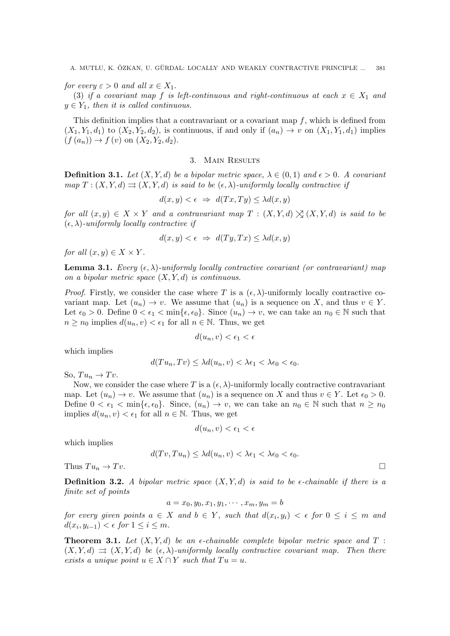for every  $\varepsilon > 0$  and all  $x \in X_1$ .

(3) if a covariant map f is left-continuous and right-continuous at each  $x \in X_1$  and  $y \in Y_1$ , then it is called continuous.

This definition implies that a contravariant or a covariant map  $f$ , which is defined from  $(X_1, Y_1, d_1)$  to  $(X_2, Y_2, d_2)$ , is continuous, if and only if  $(a_n) \rightarrow v$  on  $(X_1, Y_1, d_1)$  implies  $(f (a_n)) \to f (v)$  on  $(X_2, Y_2, d_2)$ .

#### 3. Main Results

**Definition 3.1.** Let  $(X, Y, d)$  be a bipolar metric space,  $\lambda \in (0, 1)$  and  $\epsilon > 0$ . A covariant map  $T : (X, Y, d) \rightrightarrows (X, Y, d)$  is said to be  $(\epsilon, \lambda)$ -uniformly locally contractive if

$$
d(x, y) < \epsilon \Rightarrow d(Tx, Ty) \leq \lambda d(x, y)
$$

for all  $(x, y) \in X \times Y$  and a contravariant map  $T : (X, Y, d) \times (X, Y, d)$  is said to be  $(\epsilon, \lambda)$ -uniformly locally contractive if

$$
d(x, y) < \epsilon \ \Rightarrow \ d(Ty, Tx) \leq \lambda d(x, y)
$$

for all  $(x, y) \in X \times Y$ .

**Lemma 3.1.** Every  $(\epsilon, \lambda)$ -uniformly locally contractive covariant (or contravariant) map on a bipolar metric space  $(X, Y, d)$  is continuous.

*Proof.* Firstly, we consider the case where T is a  $(\epsilon, \lambda)$ -uniformly locally contractive covariant map. Let  $(u_n) \to v$ . We assume that  $(u_n)$  is a sequence on X, and thus  $v \in Y$ . Let  $\epsilon_0 > 0$ . Define  $0 < \epsilon_1 < \min{\epsilon, \epsilon_0}$ . Since  $(u_n) \to v$ , we can take an  $n_0 \in \mathbb{N}$  such that  $n \geq n_0$  implies  $d(u_n, v) < \epsilon_1$  for all  $n \in \mathbb{N}$ . Thus, we get

$$
d(u_n, v) < \epsilon_1 < \epsilon
$$

which implies

$$
d(Tu_n, Tv) \leq \lambda d(u_n, v) < \lambda \epsilon_1 < \lambda \epsilon_0 < \epsilon_0.
$$

So,  $Tu_n \to Tv$ .

Now, we consider the case where T is a  $(\epsilon, \lambda)$ -uniformly locally contractive contravariant map. Let  $(u_n) \to v$ . We assume that  $(u_n)$  is a sequence on X and thus  $v \in Y$ . Let  $\epsilon_0 > 0$ . Define  $0 < \epsilon_1 < \min{\{\epsilon, \epsilon_0\}}$ . Since,  $(u_n) \to v$ , we can take an  $n_0 \in \mathbb{N}$  such that  $n \geq n_0$ implies  $d(u_n, v) < \epsilon_1$  for all  $n \in \mathbb{N}$ . Thus, we get

$$
d(u_n, v) < \epsilon_1 < \epsilon
$$

which implies

$$
d(Tv, Tu_n) \leq \lambda d(u_n, v) < \lambda \epsilon_1 < \lambda \epsilon_0 < \epsilon_0.
$$

Thus  $Tu_n \to Tv$ .

**Definition 3.2.** A bipolar metric space  $(X, Y, d)$  is said to be  $\epsilon$ -chainable if there is a finite set of points

$$
a=x_0,y_0,x_1,y_1,\cdots,x_m,y_m=b
$$

for every given points  $a \in X$  and  $b \in Y$ , such that  $d(x_i, y_i) < \epsilon$  for  $0 \le i \le m$  and  $d(x_i, y_{i-1}) < \epsilon$  for  $1 \leq i \leq m$ .

**Theorem 3.1.** Let  $(X, Y, d)$  be an  $\epsilon$ -chainable complete bipolar metric space and T :  $(X, Y, d) \implies (X, Y, d)$  be  $(\epsilon, \lambda)$ -uniformly locally contractive covariant map. Then there exists a unique point  $u \in X \cap Y$  such that  $Tu = u$ .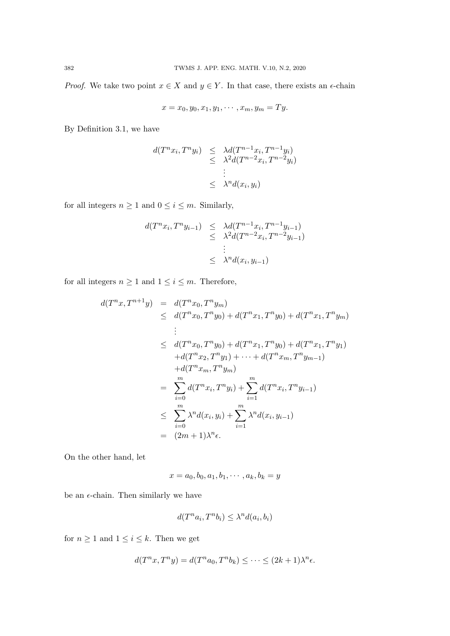*Proof.* We take two point  $x \in X$  and  $y \in Y$ . In that case, there exists an  $\epsilon$ -chain

$$
x = x_0, y_0, x_1, y_1, \cdots, x_m, y_m = Ty.
$$

By Definition 3.1, we have

$$
d(T^n x_i, T^n y_i) \leq \lambda d(T^{n-1} x_i, T^{n-1} y_i)
$$
  

$$
\leq \lambda^2 d(T^{n-2} x_i, T^{n-2} y_i)
$$
  

$$
\leq \lambda^n d(x_i, y_i)
$$

for all integers  $n \geq 1$  and  $0 \leq i \leq m$ . Similarly,

$$
d(T^{n}x_{i}, T^{n}y_{i-1}) \leq \lambda d(T^{n-1}x_{i}, T^{n-1}y_{i-1})
$$
  

$$
\leq \lambda^{2} d(T^{n-2}x_{i}, T^{n-2}y_{i-1})
$$
  

$$
\leq \lambda^{n} d(x_{i}, y_{i-1})
$$

for all integers  $n\geq 1$  and  $1\leq i\leq m.$  Therefore,

$$
d(T^{n}x, T^{n+1}y) = d(T^{n}x_{0}, T^{n}y_{m})
$$
  
\n
$$
\leq d(T^{n}x_{0}, T^{n}y_{0}) + d(T^{n}x_{1}, T^{n}y_{0}) + d(T^{n}x_{1}, T^{n}y_{m})
$$
  
\n
$$
\vdots
$$
  
\n
$$
\leq d(T^{n}x_{0}, T^{n}y_{0}) + d(T^{n}x_{1}, T^{n}y_{0}) + d(T^{n}x_{1}, T^{n}y_{1})
$$
  
\n
$$
+ d(T^{n}x_{2}, T^{n}y_{1}) + \cdots + d(T^{n}x_{m}, T^{n}y_{m-1})
$$
  
\n
$$
+ d(T^{n}x_{m}, T^{n}y_{m})
$$
  
\n
$$
= \sum_{i=0}^{m} d(T^{n}x_{i}, T^{n}y_{i}) + \sum_{i=1}^{m} d(T^{n}x_{i}, T^{n}y_{i-1})
$$
  
\n
$$
\leq \sum_{i=0}^{m} \lambda^{n} d(x_{i}, y_{i}) + \sum_{i=1}^{m} \lambda^{n} d(x_{i}, y_{i-1})
$$
  
\n
$$
= (2m + 1)\lambda^{n} \epsilon.
$$

On the other hand, let

$$
x = a_0, b_0, a_1, b_1, \cdots, a_k, b_k = y
$$

be an  $\epsilon$ -chain. Then similarly we have

$$
d(T^n a_i, T^n b_i) \le \lambda^n d(a_i, b_i)
$$

for  $n \geq 1$  and  $1 \leq i \leq k$ . Then we get

$$
d(T^n x, T^n y) = d(T^n a_0, T^n b_k) \leq \dots \leq (2k+1)\lambda^n \epsilon.
$$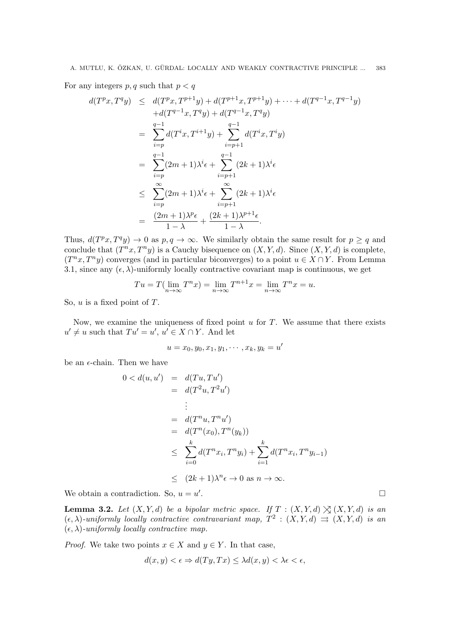For any integers  $p, q$  such that  $p < q$ 

$$
d(T^{p}x, T^{q}y) \leq d(T^{p}x, T^{p+1}y) + d(T^{p+1}x, T^{p+1}y) + \cdots + d(T^{q-1}x, T^{q-1}y) \n+ d(T^{q-1}x, T^{q}y) + d(T^{q-1}x, T^{q}y) \n= \sum_{i=p}^{q-1} d(T^{i}x, T^{i+1}y) + \sum_{i=p+1}^{q-1} d(T^{i}x, T^{i}y) \n= \sum_{i=p}^{q-1} (2m+1)\lambda^{i} \epsilon + \sum_{i=p+1}^{q-1} (2k+1)\lambda^{i} \epsilon \n\leq \sum_{i=p}^{\infty} (2m+1)\lambda^{i} \epsilon + \sum_{i=p+1}^{\infty} (2k+1)\lambda^{i} \epsilon \n= \frac{(2m+1)\lambda^{p} \epsilon}{1-\lambda} + \frac{(2k+1)\lambda^{p+1} \epsilon}{1-\lambda}.
$$

Thus,  $d(T^p x, T^q y) \to 0$  as  $p, q \to \infty$ . We similarly obtain the same result for  $p \geq q$  and conclude that  $(T^n x, T^n y)$  is a Cauchy bisequence on  $(X, Y, d)$ . Since  $(X, Y, d)$  is complete,  $(T^n x, T^n y)$  converges (and in particular biconverges) to a point  $u \in X \cap Y$ . From Lemma 3.1, since any  $(\epsilon, \lambda)$ -uniformly locally contractive covariant map is continuous, we get

$$
Tu = T(\lim_{n \to \infty} T^n x) = \lim_{n \to \infty} T^{n+1} x = \lim_{n \to \infty} T^n x = u.
$$

So,  $u$  is a fixed point of  $T$ .

Now, we examine the uniqueness of fixed point  $u$  for  $T$ . We assume that there exists  $u' \neq u$  such that  $Tu' = u'$ ,  $u' \in X \cap Y$ . And let

$$
u = x_0, y_0, x_1, y_1, \cdots, x_k, y_k = u'
$$

be an  $\epsilon$ -chain. Then we have

$$
0 < d(u, u') = d(Tu, Tu')
$$
\n
$$
= d(T^2u, T^2u')
$$
\n
$$
\vdots
$$
\n
$$
= d(T^n u, T^n u')
$$
\n
$$
= d(T^n (x_0), T^n (y_k))
$$
\n
$$
\leq \sum_{i=0}^k d(T^n x_i, T^n y_i) + \sum_{i=1}^k d(T^n x_i, T^n y_{i-1})
$$
\n
$$
\leq (2k+1)\lambda^n \epsilon \to 0 \text{ as } n \to \infty.
$$
\n
$$
\text{atradiation. So, } u = u'.
$$

We obtain a contradiction. So,  $u = u'$ 

**Lemma 3.2.** Let  $(X, Y, d)$  be a bipolar metric space. If  $T : (X, Y, d) \nlessgtr (X, Y, d)$  is an  $(\epsilon, \lambda)$ -uniformly locally contractive contravariant map,  $T^2 : (X, Y, d) \implies (X, Y, d)$  is an  $(\epsilon, \lambda)$ -uniformly locally contractive map.

*Proof.* We take two points  $x \in X$  and  $y \in Y$ . In that case,

$$
d(x, y) < \epsilon \Rightarrow d(Ty, Tx) \leq \lambda d(x, y) < \lambda \epsilon < \epsilon,
$$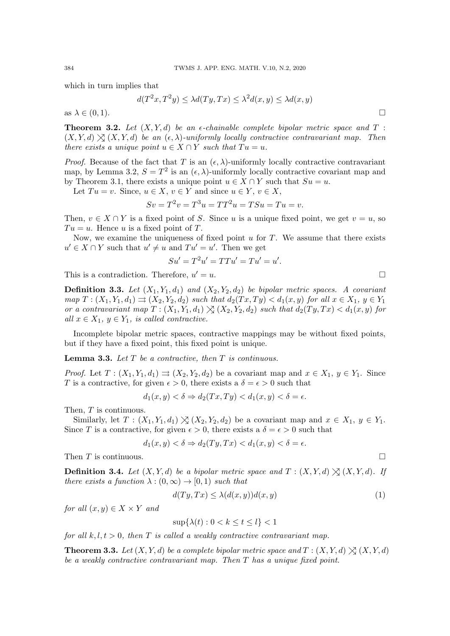which in turn implies that

$$
d(T^2x, T^2y) \le \lambda d(Ty, Tx) \le \lambda^2 d(x, y) \le \lambda d(x, y)
$$

as  $\lambda \in (0,1)$ .

**Theorem 3.2.** Let  $(X, Y, d)$  be an  $\epsilon$ -chainable complete bipolar metric space and  $T$ :  $(X, Y, d) \times (X, Y, d)$  be an  $(\epsilon, \lambda)$ -uniformly locally contractive contravariant map. Then there exists a unique point  $u \in X \cap Y$  such that  $Tu = u$ .

*Proof.* Because of the fact that T is an  $(\epsilon, \lambda)$ -uniformly locally contractive contravariant map, by Lemma 3.2,  $S = T^2$  is an  $(\epsilon, \lambda)$ -uniformly locally contractive covariant map and by Theorem 3.1, there exists a unique point  $u \in X \cap Y$  such that  $Su = u$ .

Let  $Tu = v$ . Since,  $u \in X$ ,  $v \in Y$  and since  $u \in Y$ ,  $v \in X$ ,

$$
Sv = T2v = T3u = TT2u = TSu = Tu = v.
$$

Then,  $v \in X \cap Y$  is a fixed point of S. Since u is a unique fixed point, we get  $v = u$ , so  $Tu = u$ . Hence u is a fixed point of T.

Now, we examine the uniqueness of fixed point  $u$  for  $T$ . We assume that there exists  $u' \in X \cap Y$  such that  $u' \neq u$  and  $Tu' = u'$ . Then we get

$$
Su' = T^2u' = TTu' = Tu' = u'.
$$

This is a contradiction. Therefore,  $u' = u$ .  $\prime = u.$ 

**Definition 3.3.** Let  $(X_1, Y_1, d_1)$  and  $(X_2, Y_2, d_2)$  be bipolar metric spaces. A covariant  $map T : (X_1, Y_1, d_1) \rightrightarrows (X_2, Y_2, d_2)$  such that  $d_2(Tx, Ty) < d_1(x, y)$  for all  $x \in X_1, y \in Y_1$ or a contravariant map  $T: (X_1, Y_1, d_1) \times (X_2, Y_2, d_2)$  such that  $d_2(Ty, Tx) < d_1(x, y)$  for all  $x \in X_1$ ,  $y \in Y_1$ , is called contractive.

Incomplete bipolar metric spaces, contractive mappings may be without fixed points, but if they have a fixed point, this fixed point is unique.

**Lemma 3.3.** Let  $T$  be a contractive, then  $T$  is continuous.

*Proof.* Let  $T : (X_1, Y_1, d_1) \rightrightarrows (X_2, Y_2, d_2)$  be a covariant map and  $x \in X_1, y \in Y_1$ . Since T is a contractive, for given  $\epsilon > 0$ , there exists a  $\delta = \epsilon > 0$  such that

$$
d_1(x, y) < \delta \Rightarrow d_2(Tx, Ty) < d_1(x, y) < \delta = \epsilon.
$$

Then, T is continuous.

Similarly, let  $T : (X_1, Y_1, d_1) \nightharpoonup (X_2, Y_2, d_2)$  be a covariant map and  $x \in X_1, y \in Y_1$ . Since T is a contractive, for given  $\epsilon > 0$ , there exists a  $\delta = \epsilon > 0$  such that

$$
d_1(x, y) < \delta \Rightarrow d_2(Ty, Tx) < d_1(x, y) < \delta = \epsilon.
$$

Then T is continuous.

**Definition 3.4.** Let  $(X, Y, d)$  be a bipolar metric space and  $T : (X, Y, d) \times (X, Y, d)$ . If there exists a function  $\lambda : (0, \infty) \to [0, 1)$  such that

$$
d(Ty, Tx) \le \lambda(d(x, y))d(x, y) \tag{1}
$$

for all  $(x, y) \in X \times Y$  and

$$
\sup\{\lambda(t): 0 < k \le t \le l\} < 1
$$

for all  $k, l, t > 0$ , then T is called a weakly contractive contravariant map.

**Theorem 3.3.** Let  $(X, Y, d)$  be a complete bipolar metric space and  $T : (X, Y, d) \times (X, Y, d)$ be a weakly contractive contravariant map. Then T has a unique fixed point.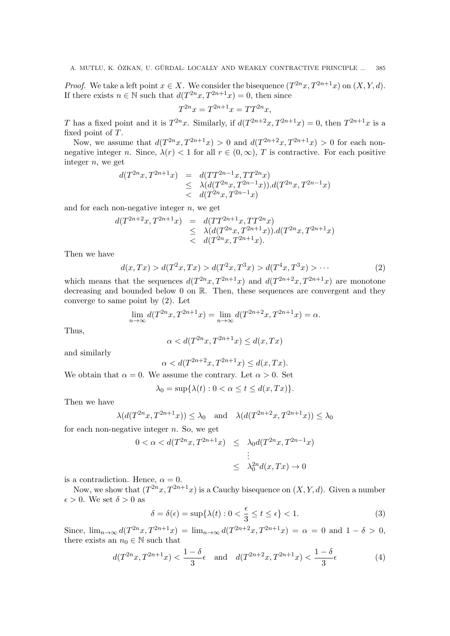*Proof.* We take a left point  $x \in X$ . We consider the bisequence  $(T^{2n}x, T^{2n+1}x)$  on  $(X, Y, d)$ . If there exists  $n \in \mathbb{N}$  such that  $d(T^{2n}x, T^{2n+1}x) = 0$ , then since

$$
T^{2n}x = T^{2n+1}x = TT^{2n}x,
$$

T has a fixed point and it is  $T^{2n}x$ . Similarly, if  $d(T^{2n+2}x, T^{2n+1}x) = 0$ , then  $T^{2n+1}x$  is a fixed point of T.

Now, we assume that  $d(T^{2n}x, T^{2n+1}x) > 0$  and  $d(T^{2n+2}x, T^{2n+1}x) > 0$  for each nonnegative integer n. Since,  $\lambda(r) < 1$  for all  $r \in (0, \infty)$ , T is contractive. For each positive integer  $n$ , we get

$$
d(T^{2n}x, T^{2n+1}x) = d(TT^{2n-1}x, TT^{2n}x)
$$
  
\n
$$
\leq \lambda (d(T^{2n}x, T^{2n-1}x)).d(T^{2n}x, T^{2n-1}x)
$$
  
\n
$$
< d(T^{2n}x, T^{2n-1}x)
$$

and for each non-negative integer  $n$ , we get

$$
d(T^{2n+2}x, T^{2n+1}x) = d(TT^{2n+1}x, TT^{2n}x)
$$
  
\n
$$
\leq \lambda (d(T^{2n}x, T^{2n+1}x)).d(T^{2n}x, T^{2n+1}x)
$$
  
\n
$$
< d(T^{2n}x, T^{2n+1}x).
$$

Then we have

$$
d(x,Tx) > d(T^2x,Tx) > d(T^2x,T^3x) > d(T^4x,T^3x) > \cdots
$$
 (2)

which means that the sequences  $d(T^{2n}x, T^{2n+1}x)$  and  $d(T^{2n+2}x, T^{2n+1}x)$  are monotone decreasing and bounded below 0 on R. Then, these sequences are convergent and they converge to same point by (2). Let

$$
\lim_{n \to \infty} d(T^{2n}x, T^{2n+1}x) = \lim_{n \to \infty} d(T^{2n+2}x, T^{2n+1}x) = \alpha.
$$

Thus,

$$
\alpha < d(T^{2n}x, T^{2n+1}x) \le d(x, Tx)
$$

and similarly

$$
\alpha < d(T^{2n+2}x, T^{2n+1}x) \le d(x, Tx).
$$

We obtain that  $\alpha = 0$ . We assume the contrary. Let  $\alpha > 0$ . Set

$$
\lambda_0 = \sup \{ \lambda(t) : 0 < \alpha \le t \le d(x, Tx) \}.
$$

Then we have

$$
\lambda(d(T^{2n}x, T^{2n+1}x)) \le \lambda_0 \quad \text{and} \quad \lambda(d(T^{2n+2}x, T^{2n+1}x)) \le \lambda_0
$$

for each non-negative integer  $n$ . So, we get

$$
0 < \alpha < d(T^{2n}x, T^{2n+1}x) \leq \lambda_0 d(T^{2n}x, T^{2n-1}x)
$$
\n
$$
\vdots
$$
\n
$$
\leq \lambda_0^{2n} d(x, Tx) \to 0
$$

is a contradiction. Hence,  $\alpha = 0$ .

Now, we show that  $(T^{2n}x, T^{2n+1}x)$  is a Cauchy bisequence on  $(X, Y, d)$ . Given a number  $\epsilon > 0$ . We set  $\delta > 0$  as

$$
\delta = \delta(\epsilon) = \sup \{ \lambda(t) : 0 < \frac{\epsilon}{3} \le t \le \epsilon \} < 1. \tag{3}
$$

Since,  $\lim_{n\to\infty} d(T^{2n}x, T^{2n+1}x) = \lim_{n\to\infty} d(T^{2n+2}x, T^{2n+1}x) = \alpha = 0$  and  $1 - \delta > 0$ , there exists an  $n_0 \in \mathbb{N}$  such that

$$
d(T^{2n}x, T^{2n+1}x) < \frac{1-\delta}{3}\epsilon
$$
 and  $d(T^{2n+2}x, T^{2n+1}x) < \frac{1-\delta}{3}\epsilon$  (4)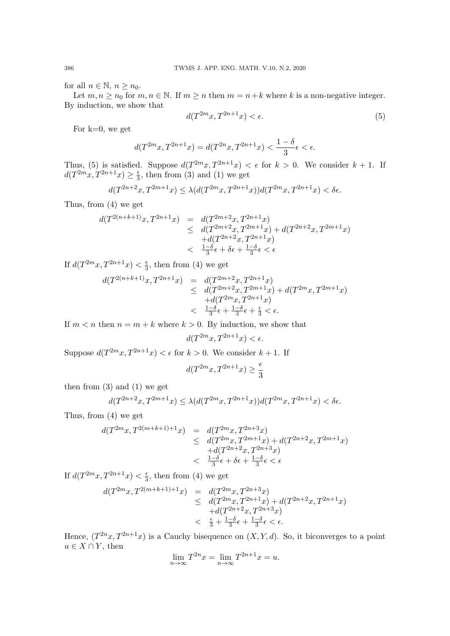for all  $n \in \mathbb{N}$ ,  $n \geq n_0$ .

Let  $m, n \ge n_0$  for  $m, n \in \mathbb{N}$ . If  $m \ge n$  then  $m = n + k$  where k is a non-negative integer. By induction, we show that

$$
d(T^{2m}x, T^{2n+1}x) < \epsilon. \tag{5}
$$

For  $k=0$ , we get

$$
d(T^{2m}x, T^{2n+1}x) = d(T^{2n}x, T^{2n+1}x) < \frac{1-\delta}{3}\epsilon < \epsilon.
$$

Thus, (5) is satisfied. Suppose  $d(T^{2m}x, T^{2n+1}x) < \epsilon$  for  $k > 0$ . We consider  $k + 1$ . If  $d(T^{2m}x, T^{2n+1}x) \geq \frac{\epsilon}{3}$  $\frac{\epsilon}{3}$ , then from (3) and (1) we get

$$
d(T^{2n+2}x, T^{2m+1}x) \le \lambda (d(T^{2m}x, T^{2n+1}x))d(T^{2m}x, T^{2n+1}x) < \delta \epsilon.
$$

Thus, from (4) we get

$$
d(T^{2(n+k+1)}x, T^{2n+1}x) = d(T^{2m+2}x, T^{2n+1}x) \n\leq d(T^{2m+2}x, T^{2m+1}x) + d(T^{2n+2}x, T^{2m+1}x) \n+ d(T^{2n+2}x, T^{2n+1}x) \n
$$
\frac{1-\delta}{3}\epsilon + \delta\epsilon + \frac{1-\delta}{3}\epsilon < \epsilon
$$
$$

If  $d(T^{2m}x, T^{2n+1}x) < \frac{\epsilon}{3}$  $\frac{\epsilon}{3}$ , then from (4) we get

$$
d(T^{2(n+k+1)}x, T^{2n+1}x) = d(T^{2m+2}x, T^{2n+1}x) \n\leq d(T^{2m+2}x, T^{2m+1}x) + d(T^{2m}x, T^{2m+1}x) \n+ d(T^{2m}x, T^{2n+1}x) \n
$$
\frac{1-\delta}{3}\epsilon + \frac{1-\delta}{3}\epsilon + \frac{\epsilon}{3} < \epsilon.
$$
$$

If  $m < n$  then  $n = m + k$  where  $k > 0$ . By induction, we show that

$$
d(T^{2m}x, T^{2n+1}x) < \epsilon.
$$

Suppose  $d(T^{2m}x, T^{2n+1}x) < \epsilon$  for  $k > 0$ . We consider  $k + 1$ . If

$$
d(T^{2m}x,T^{2n+1}x)\geq \frac{\epsilon}{3}
$$

then from  $(3)$  and  $(1)$  we get

$$
d(T^{2n+2}x, T^{2m+1}x) \le \lambda (d(T^{2m}x, T^{2n+1}x))d(T^{2m}x, T^{2n+1}x) < \delta \epsilon.
$$

Thus, from (4) we get

$$
d(T^{2m}x, T^{2(m+k+1)+1}x) = d(T^{2m}x, T^{2n+3}x) \n\leq d(T^{2m}x, T^{2m+1}x) + d(T^{2n+2}x, T^{2m+1}x) \n+ d(T^{2n+2}x, T^{2n+3}x) \n
$$
\frac{1-\delta}{3}\epsilon + \delta\epsilon + \frac{1-\delta}{3}\epsilon < \epsilon
$$
$$

If  $d(T^{2m}x, T^{2n+1}x) < \frac{\epsilon}{3}$  $\frac{\epsilon}{3}$ , then from (4) we get

$$
d(T^{2m}x, T^{2(m+k+1)+1}x) = d(T^{2m}x, T^{2n+3}x) \n\leq d(T^{2m}x, T^{2n+1}x) + d(T^{2n+2}x, T^{2n+1}x) \n+ d(T^{2n+2}x, T^{2n+3}x) \n\leq \frac{\epsilon}{3} + \frac{1-\delta}{3}\epsilon + \frac{1-\delta}{3}\epsilon < \epsilon.
$$

Hence,  $(T^{2n}x, T^{2n+1}x)$  is a Cauchy bisequence on  $(X, Y, d)$ . So, it biconverges to a point  $u \in X \cap Y$ , then

$$
\lim_{n \to \infty} T^{2n} x = \lim_{n \to \infty} T^{2n+1} x = u.
$$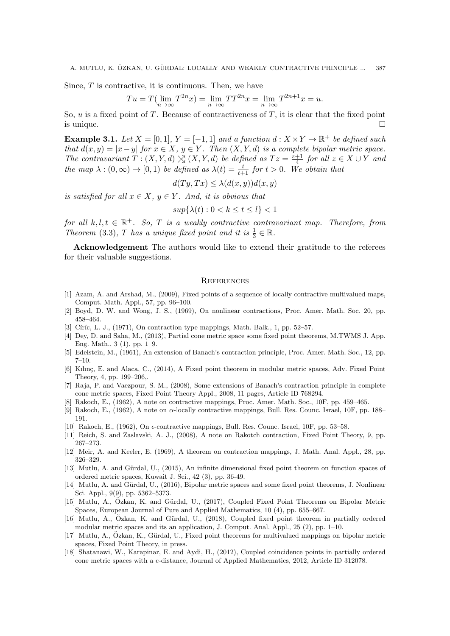Since,  $T$  is contractive, it is continuous. Then, we have

$$
Tu = T(\lim_{n \to \infty} T^{2n}x) = \lim_{n \to \infty} TT^{2n}x = \lim_{n \to \infty} T^{2n+1}x = u.
$$

So, u is a fixed point of T. Because of contractiveness of T, it is clear that the fixed point is unique.  $\Box$ 

**Example 3.1.** Let  $X = [0, 1], Y = [-1, 1]$  and a function  $d : X \times Y \to \mathbb{R}^+$  be defined such that  $d(x, y) = |x - y|$  for  $x \in X$ ,  $y \in Y$ . Then  $(X, Y, d)$  is a complete bipolar metric space. The contravariant  $T: (X, Y, d) \searrow (X, Y, d)$  be defined as  $Tz = \frac{z+1}{4}$  $\frac{+1}{4}$  for all  $z \in X \cup Y$  and the map  $\lambda : (0, \infty) \to [0, 1)$  be defined as  $\lambda(t) = \frac{t}{t+1}$  for  $t > 0$ . We obtain that

$$
d(Ty, Tx) \le \lambda(d(x, y))d(x, y)
$$

is satisfied for all  $x \in X$ ,  $y \in Y$ . And, it is obvious that

$$
sup{\{\lambda(t): 0 < k \le t \le l\}} < 1
$$

for all  $k, l, t \in \mathbb{R}^+$ . So, T is a weakly contractive contravariant map. Therefore, from Theorem (3.3), T has a unique fixed point and it is  $\frac{1}{3} \in \mathbb{R}$ .

Acknowledgement The authors would like to extend their gratitude to the referees for their valuable suggestions.

## **REFERENCES**

- [1] Azam, A. and Arshad, M., (2009), Fixed points of a sequence of locally contractive multivalued maps, Comput. Math. Appl., 57, pp. 96–100.
- [2] Boyd, D. W. and Wong, J. S., (1969), On nonlinear contractions, Proc. Amer. Math. Soc. 20, pp. 458–464.
- [3] Círíc, L. J.,  $(1971)$ , On contraction type mappings, Math. Balk., 1, pp. 52–57.
- [4] Dey, D. and Saha, M., (2013), Partial cone metric space some fixed point theorems, M.TWMS J. App. Eng. Math., 3 (1), pp. 1–9.
- [5] Edelstein, M., (1961), An extension of Banach's contraction principle, Proc. Amer. Math. Soc., 12, pp. 7–10.
- [6] Kılınç, E. and Alaca, C., (2014), A Fixed point theorem in modular metric spaces, Adv. Fixed Point Theory, 4, pp. 199–206,.
- [7] Raja, P. and Vaezpour, S. M., (2008), Some extensions of Banach's contraction principle in complete cone metric spaces, Fixed Point Theory Appl., 2008, 11 pages, Article ID 768294.
- [8] Rakoch, E., (1962), A note on contractive mappings, Proc. Amer. Math. Soc., 10F, pp. 459–465.
- [9] Rakoch, E., (1962), A note on α-locally contractive mappings, Bull. Res. Counc. Israel, 10F, pp. 188– 191.
- [10] Rakoch, E., (1962), On  $\epsilon$ -contractive mappings, Bull. Res. Counc. Israel, 10F, pp. 53–58.
- [11] Reich, S. and Zaslavski, A. J., (2008), A note on Rakotch contraction, Fixed Point Theory, 9, pp. 267–273.
- [12] Meir, A. and Keeler, E. (1969), A theorem on contraction mappings, J. Math. Anal. Appl., 28, pp. 326–329.
- [13] Mutlu, A. and Gürdal, U., (2015), An infinite dimensional fixed point theorem on function spaces of ordered metric spaces, Kuwait J. Sci., 42 (3), pp. 36-49.
- [14] Mutlu, A. and Gürdal, U., (2016), Bipolar metric spaces and some fixed point theorems, J. Nonlinear Sci. Appl., 9(9), pp. 5362–5373.
- [15] Mutlu, A., Özkan, K. and Gürdal, U., (2017), Coupled Fixed Point Theorems on Bipolar Metric Spaces, European Journal of Pure and Applied Mathematics, 10 (4), pp. 655–667.
- [16] Mutlu, A., Özkan, K. and Gürdal, U., (2018), Coupled fixed point theorem in partially ordered modular metric spaces and its an application, J. Comput. Anal. Appl., 25 (2), pp. 1–10.
- [17] Mutlu, A., Ozkan, K., Gürdal, U., Fixed point theorems for multivalued mappings on bipolar metric spaces, Fixed Point Theory, in press.
- [18] Shatanawi, W., Karapinar, E. and Aydi, H., (2012), Coupled coincidence points in partially ordered cone metric spaces with a c-distance, Journal of Applied Mathematics, 2012, Article ID 312078.